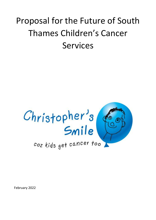# Proposal for the Future of South Thames Children's Cancer Services



February 2022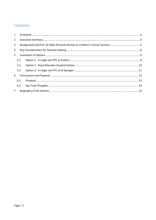# Contents

| $\mathbf{1}$                                                                       |     |  |  |  |  |
|------------------------------------------------------------------------------------|-----|--|--|--|--|
| $\overline{2}$                                                                     |     |  |  |  |  |
| Background and Prof. Sir Mike Richards Review on Children's Cancer Services 5<br>3 |     |  |  |  |  |
| 4                                                                                  |     |  |  |  |  |
| 5                                                                                  |     |  |  |  |  |
|                                                                                    | 5.1 |  |  |  |  |
|                                                                                    | 5.2 |  |  |  |  |
|                                                                                    | 5.3 |  |  |  |  |
| 6                                                                                  |     |  |  |  |  |
|                                                                                    | 6.1 |  |  |  |  |
|                                                                                    | 6.2 |  |  |  |  |
| $7^{\circ}$                                                                        |     |  |  |  |  |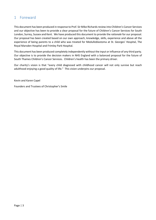## <span id="page-2-0"></span>1 Foreward

This document has been produced in response to Prof. Sir Mike Richards review into Children's Cancer Services and our objective has been to provide a clear proposal for the future of Children's Cancer Services for South London, Surrey, Sussex and Kent. We have produced this document to provide the *rationale* for our proposal. Our proposal has been created based on our own approach, knowledge, skills, experience and above all the experience of being parents to a child who was treated for Medulloblastoma at St. Georges' Hospital, The Royal Marsden Hospital and Frimley Park Hospital.

This document has been produced completely independently without the input or influence of any third party. Our objective is to provide the decision makers in NHS England with a balanced proposal for the future of South Thames Children's Cancer Services. Children's health has been the primary driver.

Our charity's vision is that "every child diagnosed with childhood cancer will not only survive but reach adulthood enjoying a good quality of life." This vision underpins our proposal.

Kevin and Karen Capel

Founders and Trustees of Christopher's Smile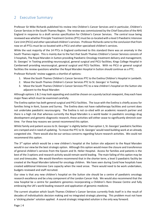### <span id="page-3-0"></span>2 Executive Summary

Professor Sir Mike Richards published his review into Children's Cancer Services and in particular, Children's Cancer Services in the South Thames Region. The review was commissioned by the Chief Executive of the NHS England in response to a draft service specification for Children's Cancer Services. The central issue being reviewed was whether Principle Treatment Centres (PTC) must be co-located with a level 3 Paediatric Intensive Care Unit (PICU) and other specialised children's services. Professor Richards came to the conclusion that from now on all PTCs must be co-located with a PICU and other specialised children's services.

While the vast majority of the 14 PTCs in England conformed to this standard there was an anomaly in the South Thames region. This is mainly due to the fact that South Thames Children's Cancer Services consists of 3 hospitals, The Royal Marsden in Sutton providing Paediatric Oncology treatment delivery and management; St. Georges' in Tooting providing neurosurgical, general surgical and PICU facilities; Kings College Hospital in Camberwell providing neurosurgical, general surgical and PICU facilities. With no PICU or general surgical facilities the review questions whether the Royal Marsden Hospital in Sutton should continue as a PTC.

Professor Richards' review suggests a shortlist of options:

- 1. Move the South Thames Children's Cancer Services PTC to the Evelina Children's Hospital in Lambeth.
- 2. Move the South Thames Children's Cancer Services PTC to St. Georges' in Tooting
- 3. Move the South Thames Children's Cancer Services PTC to a new children's hospital on the Sutton site adjacent to the Royal Marsden

Although options 1 & 2 may look appealing and could be chosen on a purely tactical viewpoint, they each have major flaws which must be examined carefully.

The Evelina option has both general surgical and PICU facilities. The issue with the Evelina is chiefly access for families living in Kent, Sussex and Surrey. The Evelina does not have radiotherapy facilities and current does not undertake paediatric neurosurgery. The Evelina is not co-sited with an academic research partner and there is a high risk that whereas currently the Royal Marsden is a world leader in paediatric oncology drug development and genomic diagnostic research, these activities will either cease to significantly diminish over time. For these key reasons we cannot recommend this option.

Whilst family and patient access to St. Georges' is slightly better than option 1, St. Georges' paediatric facilities are cramped and in need of updating. To move the PTC to St. Georges' would need building work at an already congested site. There would also be our serious concerns regarding future research activities. We could not recommend this option.

The  $3<sup>rd</sup>$  option which would be a new children's hospital at the Sutton site adjacent to the Royal Marsden would in our view be the best strategic option. Although this option would mean the closure and transference of general children's services from the Epsom and St. Helier Hospital. Access for families and patients is the best of the 3 options and research activity would remain world leading. The main failing of this option may be cost and timescales. We would therefore recommend that in the shorter term, a level 3 paediatric facility be created at the Royal Marsden tailored for oncology children. We have seen during Covid how hospitals have created additional Intensive Care capacity when the need arose. There would need to be work undertaken, budgets reviewed and staff recruited.

Our view is that any new children's hospital on the Sutton site should be a centre of paediatric oncology research excellence and be a key component of the London Cancer Hub. We would also recommend that the new hospital be a centre for paediatric genomics incorporating a Children's Rare Disease Centre and fully embracing the UK's world leading research and application of genomic medicine.

The current situation which South Thames Children's Cancer Services currently finds itself in is the result of decades of individualistic decision making and no integrated strategic planning. This problem must not have a 'sticking plaster' solution applied. A sound strategic integrated solution is the only way forward.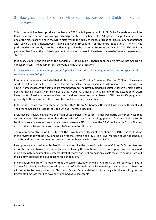# <span id="page-4-0"></span>3 Background and Prof. Sir Mike Richards Review on Children's Cancer Services

This document has been produced in January 2022, a full year after Prof. Sir Mike Richards review into Children's Cancer Services was completed and presented to the board of NHS England. The past year has been one of the most challenging in the NHS's history with the dual challenges of treating large numbers of patients with Covid 19 and simultaneously rolling out Covid 19 vaccines for the entire population. The NHS has performed magnificently since the pandemic spread in the UK during February and March 2020. The Covid 19 pandemic has forced the NHS to implement initiatives that would have been unheard of before the pandemic started.

In January 2020, in the middle of the pandemic, Prof. Sir Mike Richards published his review into Children's Cancer Services. The document can be found online at this location:

[https://www.england.nhs.uk/wp-content/uploads/2020/01/board-meeting-item-9-update-on-specialised](https://www.england.nhs.uk/wp-content/uploads/2020/01/board-meeting-item-9-update-on-specialised-services-c-appendix-2.pdf)[services-c-appendix-2.pdf](https://www.england.nhs.uk/wp-content/uploads/2020/01/board-meeting-item-9-update-on-specialised-services-c-appendix-2.pdf)

In summary the review concluded that all children's cancer Principal Treatment Centres (PTC) must have a cosited Level 3 Paediatric Intensive Care Unit and specialist children's services. At present there is an issue in South Thames whereby the services are fragmented and The Royal Marsden Hospital Children's Unit in Sutton does not have a Paediatric Intensive Care Unit (PICU). All other PTCs in England with the exception of UCLH have co-sited Paediatric Intensive Care Units and are therefore not an issue. UCLH, due to it's geographic proximity to Great Ormond Street Hospital is not seen as an issue either.

In the South Thames area the three hospitals with PICUs are St. Georges' Hospital, Kings College Hospital and The Evelina Children's Hospital co-sited with St. Thomas's Hospital.

Prof. Richards review highlighted the fragmented services for South Thames Paediatric Cancer Services that currently exist. The review describes the transfer of paediatric oncology patients from hospitals in South London, Surrey, Sussex and Kent which do not possess a PICU to one of the 3 PICU units in the South Thames area in addition to transfers from Sussex to Southampton Hospital.

The review concentrated on the future of The Royal Marsden Hospital to continue as a PTC. It is made clear in the review that with no PICU and no plan for the creation of a PICU, The Royal Marsden could not continue as a PTC and that the service must move to another hospital with a co-sited PICU.

Five options were considered by Prof Richards to resolve the issue of the future of Children's Cancer Services in South Thames. Two options were discounted leaving three options. These three options will be discussed more fully in this document and whereas Prof. Richards does not propose any single favoured solution, we will make a firm proposal and give reasons for our decision.

In conclusion, we are of the opinion that the current situation in which Children's Cancer Services in South Thames finds itself, has been caused by decades of individualistic decision making. Clearly there has been no will to centralise every aspect of Children's Cancer Service delivery into a single facility resulting in the fragmented morass that has now been deemed as unacceptable.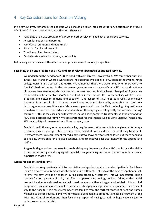## <span id="page-5-0"></span>4 Key Considerations for Decision Making

In his review, Prof. Richards listed 6 factors which should be taken into account for any decision on the future of Children's Cancer Services in South Thames. These are:

- Feasibility of on-site provision of a PICU and other relevant paediatric specialised services.
- Access for patients and parents.
- Workforce retention and recruitment.
- Potential for clinical research.
- Timeliness of implementation
- Capital costs / value for money / affordability

Below we give our views on these factors and provide views from our perspective.

#### **Feasibility of on-site provision of a PICU and other relevant paediatric specialised services.**

We understand the need for a PICU co-sited with a Children's Oncology Unit. We remember our time in the Royal Marsden where a white board indicated the availability of PICU beds at the Evelina, Kings College Hospital, St. Georges' and GOSH. We remember that there were times when there were no free PICU beds in London. In the intervening years we are not aware of major PICU expansion at any of the 4 centres mentioned above so we can only assume the situation hasn't changed in 14 years. As we are not able to see statistics for % bed utilisation in the London PICUs we cannot say whether there is equilibrium between demand and capacity. One aspect of PICU need as a result of oncology treatment is as a result of harsh cytotoxic regimens not being tolerated by some children. We know harsh regimens can result in acute febrile neutropenia which can be life threatening. A question we would ask is: Has there been advancement in chemotherapy regimens to greatly reduce 'over treating' children? If this is the case and with greater use of kinder, targeted treatments, will the demand for PICU beds decrease over time? We are aware that for treatments such as Bone Marrow Transplants, PICU availability will be needed as will post surgery care.

Paediatric radiotherapy services are also a key requirement. Whereas adults are given radiotherapy treatment awake, younger children need to be sedated so they do not move during treatment. Therefore there is a requirement for radiology staff to know how to treat children but there needs to be a facility where children are given sedatives and can recover post treatment with the appropriate staffing.

Surgery both general and neurological are both key requirements and any PTC should have the ability to perform at least general surgery with specialist surgery being performed by centres with particular expertise in those areas.

#### **Access for patients and parents.**

Paediatric oncology patients fall into two distinct categories: inpatients and out patients. Each have their own access requirements which can be quite different. Let us take the case of inpatients first. Parents will stay with their children during chemotherapy treatment. This will necessitate taking clothing for both parent and child, toys, food and personal technology devices. Added to this a child may not be able to walk unaided and will need the use of either a buggy or wheelchair. If a hospital has poor vehicular access how would a parent and child physically get everything needed for a hospital stay to the hospital? We must remember that families from the farthest reaches of Kent and Sussex will need to be considered. Family visits must also be taken into account. Families do not want a long drive into Central London and then face the prospect of having to park at huge expense just to undertake an essential visit.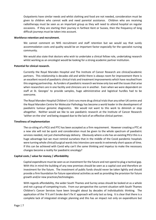Outpatients have similar needs and whilst clothing and food are not needed, consideration must be given to children who cannot walk and need parental assistance. Children who are receiving radiotherapy must be seen as an important group as they will need to attend hospital on regular occasions. If they are starting their journey in farthest Kent or Sussex, then the frequency of long difficult journeys must be taken into account.

#### **Workforce retention and recruitment.**

We cannot comment on NHS recruitment and staff retention but we would say that surely accommodation costs and quality would be an important factor especially for the specialist nursing community.

We would also state that doctors who wish to undertake a clinical fellow role, undertaking research whilst working as an oncologist would be looking for a strong academic partner institution.

#### **Potential for clinical research.**

Currently the Royal Marsden Hospital and The Institute of Cancer Research are clinical/academic partners. This relationship is decades old and whilst there is always room for improvement there is an excellent record of paediatric clinical trials and treatment improvements which have resulted from this ongoing partnership. As funders of paediatric research we know only too well the issues that arise when researchers are in one facility and clinicians are in another. Even when we were dependent on staff at St. Georges' to provide samples, huge administrative and logistical hurdles had to be overcome.

The Royal Marsden Hospital Children's Unit runs more drug clinical trials than any other UK centre and the Royal Marsden Centre for Molecular Pathology has become a world leader in the development of paediatric tumour genomic diagnostics. We would not want to this work to diminish or stop altogether. Neither would we like to see paediatric research at the Institute of Cancer Research 'wither on the vine' and being stopped due to the lack of an effective clinical partner.

#### **Timeliness of implementation**

The co-siting of a PICU and PTC has been accepted as a firm requirement. However creating a PTC at a new site will not be quick and consideration must be given to the whole spectrum of paediatric services needed, not just chemotherapy delivery. Obviously where a site has an existing PICU this is a huge advantage but we must remind ourselves that in the middle of the Covid pandemic hospitals were turning whole clinical/surgical wards into intensive care wards in extremely short spaces of time. If this can be achieved with Covid why can't the same thinking and impetus to make the necessary changes become a reality for paediatric oncology?

#### **Capital costs / value for money / affordability**

Capital expenditure must be seen as an investment for the future and not spend to plug a tactical gap. With this in mind the building of any new premises should be seen as a capital cost and therefore an investment for the future. The investment of public funds should never be taken lightly and should provide a firm foundation for future operational activities as well as providing the provision for future growth and/or new practices/technologies.

With regards affordability, the wider South Thames and Surrey areas should be looked at as a whole and not a group of competing trusts. From our perspective the current situation with South Thames Children's Cancer Services have been brought about by decades of individualistic thinking. The application of the 'if it ain't broke don't fix it' approach will only last so long. It is clear that there is a complete lack of integrated strategic planning and this has an impact not only on expenditure but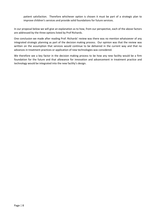patient satisfaction. Therefore whichever option is chosen it must be part of a strategic plan to improve children's services and provide solid foundations for future services.

In our proposal below we will give an explanation as to how, from our perspective, each of the above factors are addressed by the three options listed by Prof Richards.

One conclusion we made after reading Prof. Richards' review was there was no mention whatsoever of any integrated strategic planning as part of the decision making process. Our opinion was that the review was written on the assumption that services would continue to be delivered in the current way and that no advances in treatment practices or application of new technologies was considered.

We therefore see a key factor in the decision making process to be how any new facility would be a firm foundation for the future and that allowance for innovation and advancement in treatment practice and technology would be integrated into the new facility's design.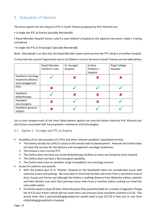# <span id="page-8-0"></span>5 Evaluation of Options

The three options for the siting of a PTC in South Thames proposed by Prof. Richards are:

- A single site PTC at Evelina (possibly Marsden@).
- Royal Marsden Hospital Sutton, only if a new children's hospital on the adjacent site seems viable / is being considered.
- A single site PTC at St Georges' (possibly Marsden@).

Note:- Marsden@ is an idea that the Royal Marsden name continues but the PTC siting is at another hospital.

To illustrate the current fragmented nature of Children's Cancer Services in South Thames see the table below:

|                                                             | Royal Marsden<br>Children's Unit | St. Georges'<br>Hospital | Evelina<br>Children's<br>Hospital | Kings College<br>Hospital |
|-------------------------------------------------------------|----------------------------------|--------------------------|-----------------------------------|---------------------------|
| Paediatric oncology<br>treatment delivery<br>and management |                                  | X                        | X                                 |                           |
| PICU                                                        | X                                |                          |                                   |                           |
| Paediatric<br>Radiotherapy                                  |                                  | X                        | Х                                 |                           |
| Paediatric<br>neurosurgery                                  | X                                |                          | X                                 |                           |
| Paediatric general<br>surgery                               | X                                |                          |                                   |                           |

Let us now compare each of the short listed options against not only the factors listed by Prof. Richards but also factors associated with future growth, treatments and technologies.

- <span id="page-8-1"></span>5.1 Option 1 - A single site PTC at Evelina
- Feasibility of on-site provision of a PICU and other relevant paediatric specialised services.
	- $\triangleright$  The Evelina already has a PICU in place so this would need no development. However the Evelina does not have the services for the delivery and management oncology treatments.
	- $\triangleright$  The Evelina is not a current PTC
	- $\triangleright$  The Evelina does not have any onsite Radiotherapy facilities as these are housed at Guys Hospital
	- $\triangleright$  The Evelina does not have a Neurosurgical capability
	- $\triangleright$  The Evelina does have an excellent range of paediatric non oncology services
- Access for patients and parents.
	- $\triangleright$  With the Evelina part of St. Thomas' Hospital on the Southbank there are considerable issues with vehicular access and parking. We must bear in mind that families will come from a catchment area of Kent, Sussex and Surrey and although the Evelina is walking distance from Waterloo station, patients and their families may start their journeys many miles from a mainline station making car travel the only viable option.
	- $\triangleright$  If a family needs to drop off their child and parent they would be liable for a London Congestion Charge fee of £15 plus if their vehicle did not meet Ultra Low Emission Zone standards a further £12.50. This would mean that a parent/sibling/grandparent would need to pay £27.50 in fees just to visit their child/sibling/grandchild in hospital.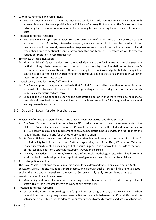- Workforce retention and recruitment.
	- $\triangleright$  With no specialist cancer academic partner there would be a little incentive for senior clinicians with a research interest to take a position in any Children's Oncology Unit located at the Evelina. Also the extremely high cost of accommodation in the area may be an influencing factor for specialist nursing staff.
- Potential for clinical research.
	- $\triangleright$  With the Evelina Hospital so far away from the Sutton home of the Institute of Cancer Research, the academic partner of the Royal Marsden Hospital, there can be no doubt that this relationship for paediatrics would be severely weakened or disappear entirely. It would not be the best use of clinical researcher's time to continually shuttle between Sutton and Lambeth. Therefore we would expect a serious deterioration in research activity.
- Timeliness of implementation
	- Moving Children's Cancer Services from the Royal Marsden to the Evelina Hospital must be seen as a tactical sticking plaster solution and does not in any way lay firm foundations for tomorrow's treatments, technologies or thinking. Although moving to the Evelina could potentially be the quickest solution to the current single shortcoming of the Royal Marsden in that it has an onsite PICU, other factors must be taken into account.
- Capital costs / value for money / affordability
	- $\triangleright$  The Evelina option may appear attractive in that Capital Costs would be lower than other options but we must take into account other costs such as providing a paediatric day ward for the site which undertakes paediatric radiotherapy.
	- $\triangleright$  Choosing the Evelina cannot be seen as the best strategic option in that there would be no plans to centralise all paediatric oncology activities into a single centre and be fully integrated with a world leading research institution.

#### <span id="page-9-0"></span>5.2 Option 2 - Royal Marsden Hospital Sutton

- Feasibility of on-site provision of a PICU and other relevant paediatric specialised services.
	- $\triangleright$  The Royal Marsden does not currently have a PICU onsite. In order to meet the requirements of the Children's Cancer Services specification a PICU would be needed for the Royal Marsden to continue as a PTC. There would also be a requirement to provide paediatric surgical services in order to meet the need of fitting lines or ports for chemotherapy administration.
	- Professor Richards review stated that the Royal Marsden could only be considered if a children's hospital facility be built on the current Sutton Hospital site, part of the RMH/ICR campus. Whether this facility would eventually include paediatric neurosurgery is one that would be outside of the scope of this response but from a strategic viewpoint it would make sense.
	- The Royal Marsden has the RMH/NIHR Centre of Molecular Pathology onsite which has become a world leader in the development and application of genomic cancer diagnostics for children.
- 2) Access for patients and parents.
- 3) The Royal Marsden option is the only realistic option for children and their families originating Kent, Sussex or Surrey. The site has good vehicular access and although public transport links are not as good as the other two options, travel from the South of Sutton can only really be considered using a car.
- 4) Workforce retention and recruitment.
	- $\triangleright$  Maintaining and hopefully enhancing the strong relationship with the ICR would encourage clinical staff with a strong research interest to work at any new facility.
- 5) Potential for clinical research.
	- $\triangleright$  Currently the RMH runs more drug trials for paediatric oncology than any other UK centre. Children benefit from the strong drug development activities for adults between the ICR and RMH and this activity must flourish in order to address the current poor outcomes for some paediatric solid tumours.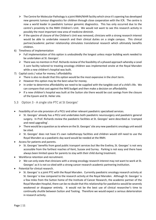- $\triangleright$  The Centre for Molecular Pathology is a joint RMH/NIHR facility which since it's opening has developed new genomic tumour diagnostics for children through close cooperation with the ICR. The centre is now a world leader in paediatric tumour genomic diagnostics. This has only occurred due to the centre's proximity to the RMH Children's Unit. We would not want to see this research activity in possibly the most important new area of medicine diminish.
- $\triangleright$  If the spectre of closure of the Children's Unit was removed, clinicians with a strong research interest would be able to undertake research and their clinical duties on a single campus. This clinical partner/academic partner relationship stimulates translational research which ultimately benefits children.
- 6) Timeliness of implementation
	- $\triangleright$  Full implementation of this option is undoubtedly the longest unless major building work needed to be undertaken at St. Georges'.
	- $\triangleright$  There was no mention in Prof. Richards review of the feasibility of a phased approach whereby a Level 3 care facility tailored to treating oncology children was implemented onsite at the Royal Marsden while a new children's hospital was built.
- 7) Capital costs / value for money / affordability
	- $\triangleright$  There is also no doubt that this option would be the most expensive in the short term.
	- $\triangleright$  However this option may be the best value for money.
	- $\triangleright$  In order to determine affordability we need to be supplied with the tangible cost of a child's life. We can compare that cost against the NHS budget and then make a decision on affordability
	- $\triangleright$  If a new children's hospital was built at the Sutton site there would be cost savings from the closure of the Epsom and St. Helier site.
- <span id="page-10-0"></span>5.3 Option 3 - A single site PTC at St Georges'
- Feasibility of on-site provision of a PICU and other relevant paediatric specialised services.
	- $\triangleright$  St. Georges' already has a PICU and undertakes both paediatric neurosurgery and paediatric general surgery. In Prof. Richards review the paediatric facilities at St. Georges' were described as 'cramped and need upgrading'.
	- $\triangleright$  There would be a question as to where on the St. Georges' site any new paediatric oncology unit would be sited.
	- $\triangleright$  St. Georges' does not have it's own radiotherapy facilities and children would still need to use the Royal Marsden so a paediatric day ward would be needed at the RMH.
- Access for patients and parents.
	- $\triangleright$  St. Georges' benefits from good public transport services but like the Evelina, St. Georges' is not very accessible from the farthest reaches of Kent, Sussex and Surrey. Parking is not easy and there have always been limited space for parents to stay with their child during treatment.
- Workforce retention and recruitment.
	- $\triangleright$  We can only state that clinicians with a strong oncology research interest may not want to work at St. Georges' as it is not co-sited with a strong cancer research academic partnering institution.
- Potential for clinical research.
	- $\triangleright$  St. Georges' is a joint PTC with the Royal Marsden. Currently paediatric oncology research activity at St. Georges' is low compared to the research activity at the Royal Marsden. Although St. Georges' is a few miles from the Sutton home of the Institute of Cancer Research, the academic partner of the Royal Marsden Hospital, there can be no doubt that this relationship for paediatrics would be severely weakened or disappear entirely. It would not be the best use of clinical researcher's time to continually shuttle between Sutton and Tooting. Therefore we would expect a serious deterioration in research activity.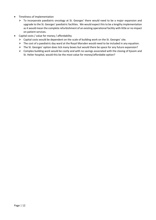- Timeliness of implementation
	- $\triangleright$  To incorporate paediatric oncology at St. Georges' there would need to be a major expansion and upgrade to the St. Georges' paediatric facilities. We would expect this to be a lengthy implementation as it would mean the complete refurbishment of an existing operational facility with little or no impact on patient services.
- Capital costs / value for money / affordability
	- Capital costs would be dependent on the scale of building work on the St. Georges' site.
	- $\triangleright$  The cost of a paediatric day ward at the Royal Marsden would need to be included in any equation.
	- $\triangleright$  The St. Georges' option does tick many boxes but would there be space for any future expansion?
	- $\triangleright$  Complex building work would be costly and with no savings associated with the closing of Epsom and St. Helier hospital, would this be the most value for money/affordable option?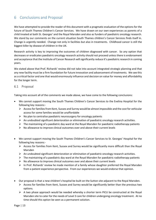## <span id="page-12-0"></span>6 Conclusions and Proposal

We have attempted to provide the reader of this document with a pragmatic evaluation of the options for the future of South Thames Children's Cancer Services. We have drawn on our own experiences as parents of a child treated at both St. Georges' and the Royal Marsden and also as funders of paediatric oncology research. We stand by our comments on the current situation South Thames children's Cancer Services finds itself in. Change is urgently needed. Change not only in facilities but also in treatments. Childhood cancer is still the biggest killer by disease of children in the UK.

Research activity is key to improving the outcomes of children diagnosed with cancer. So any option that decreases or eradicates paediatric oncology research activity should not proceed unless there is endorsement and acceptance that the Institute of Cancer Research will significantly reduce it's paediatric research in coming years.

We stated above that Prof. Richards' review did not take into account integrated strategic planning and that any new facility must be a firm foundation for future innovation and advancement of treatments. We see this as a critical factor and one that would enormously influence and decision on value for money and affordability for the longer term.

#### <span id="page-12-1"></span>6.1 Proposal

Taking into account all of the comments we made above, we have come to the following conclusions:

- We cannot support moving the South Thames Children's Cancer Services to the Evelina Hospital for the following key reasons:-
	- $\triangleright$  Access for families from Kent, Sussex and Surrey would be almost impossible and the cost for vehicular access for some families would be unaffordable
	- $\triangleright$  No plan to centralise paediatric neurosurgery for oncology patients
	- $\triangleright$  An undoubted significant deterioration or elimination of paediatric oncology research activities.
	- $\triangleright$  The maintaining of a paediatric day ward at the Royal Marsden for paediatric radiotherapy patients
	- $\triangleright$  No allowance to improve clinical outcomes over and above their current levels
- We cannot support moving the South Thames Children's Cancer Services to St. Georges' Hospital for the following key reasons:-
	- $\triangleright$  Access for families from Kent, Sussex and Surrey would be significantly more difficult than the Royal Marsden
	- $\triangleright$  An undoubted significant deterioration or elimination of paediatric oncology research activities.
	- $\triangleright$  The maintaining of a paediatric day ward at the Royal Marsden for paediatric radiotherapy patients
	- $\triangleright$  No allowance to improve clinical outcomes over and above their current levels
	- $\triangleright$  In Prof. Richards' review he made mention of a family whose daughter preferred the Royal Marsden from a patient experience perspective. From our experiences we would endorse that opinion.
- Our proposal is that a new children's hospital be built on the Sutton site adjacent to the Royal Marsden.
	- $\triangleright$  Access for families from Kent, Sussex and Surrey would be significantly better than the previous two options.
	- $\triangleright$  A two phase approach would be needed whereby a shorter term PICU be constructed at the Royal Marsden site to cater for the needs of Level 3 care for children undergoing oncology treatment. At no time should this option be seen as a permanent solution.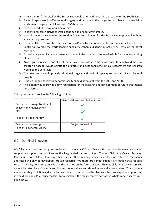- $\triangleright$  A new children's hospital on the Sutton site would offer additional PICU capacity for the South East.
- $\triangleright$  A new hospital would offer general surgery and perhaps in the longer term, subject to a feasibility study, neurosurgery for children with CNS tumours.
- $\triangleright$  Paediatric radiotherapy would be on site.
- $\triangleright$  Paediatric research activities would continue and hopefully increase.
- $\triangleright$  It would be inconceivable for the London Cancer Hub planned for the Sutton site to proceed without a paediatric presence.
- The new children's hospital could also house a Paediatric Genomics Centre and Paediatric Rare Disease Centre to leverage the world leading paediatric genomic diagnostics activity currently at the Royal Marsden.
- $\triangleright$  A paediatric genomics centre is needed to exploit the data from proposed Whole Genome Sequencing of new-borns.
- $\triangleright$  An integrated research and clinical campus consisting of the Institute of Cancer Research and the new children's hospital would attract the brightest and best paediatric clinical researchers and children would be the benefactors.
- $\triangleright$  The new centre would provide additional surgical and medical capacity to the South East's General Hospitals.
- $\triangleright$  Funding for any paediatric genomic facility should be sought from the MRC and NIHR.
- $\triangleright$  This option would provide a firm foundation for the research and development of future treatments for children.

This option would provide the following facilities:

|                               | New Children's Hospital at Sutton |  |
|-------------------------------|-----------------------------------|--|
| Paediatric oncology treatment |                                   |  |
| delivery and management       |                                   |  |
| <b>PICU</b>                   |                                   |  |
| Paediatric Radiotherapy       |                                   |  |
| Paediatric neurosurgery       | Subject to feasibility            |  |
| Paediatric general surgery    |                                   |  |

#### <span id="page-13-0"></span>6.2 Our Final Thoughts

We fully understand and support the decision that every PTC must have a PICU on site. However we cannot support any option that proliferates the fragmented nature of South Thames Children's Cancer Services. Cancer kills more children than any other disease. There is a huge unmet need for more effective treatments and these will only be developed through research. We therefore cannot support any option that reduces research activity. We firmly believe that the decision on the future of South Thames Children's Cancer Services cannot be taken by NHS Specialised Commissioners alone and should involve all stakeholders. This problem needs a strategic solution and not a tactical quick fix. Our proposal is obviously the most expensive option but it would provide 21<sup>st</sup> century facilities for a small but the most emotive part of the whole cancer spectrum  $$ paediatrics.